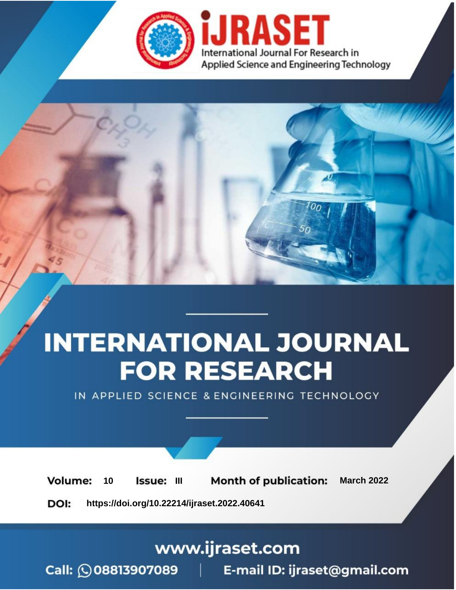

# **INTERNATIONAL JOURNAL FOR RESEARCH**

IN APPLIED SCIENCE & ENGINEERING TECHNOLOGY

10 **Issue: III Month of publication:** March 2022 **Volume:** 

**https://doi.org/10.22214/ijraset.2022.40641**DOI:

www.ijraset.com

Call: 008813907089 | E-mail ID: ijraset@gmail.com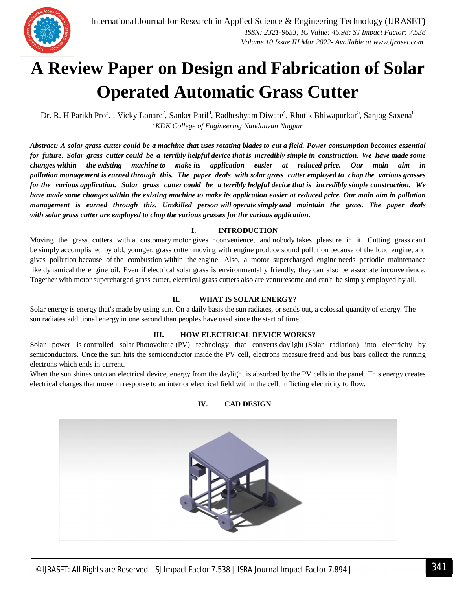

### **A Review Paper on Design and Fabrication of Solar Operated Automatic Grass Cutter**

Dr. R. H Parikh Prof.<sup>1</sup>, Vicky Lonare<sup>2</sup>, Sanket Patil<sup>3</sup>, Radheshyam Diwate<sup>4</sup>, Rhutik Bhiwapurkar<sup>5</sup>, Sanjog Saxena<sup>6</sup> *<sup>1</sup>KDK College of Engineering Nandanvan Nagpur*

*Abstract: A solar grass cutter could be a machine that uses rotating blades to cut a field. Power consumption becomes essential for future. Solar grass cutter could be a terribly helpful device that is incredibly simple in construction. We have made some changes within the existing machine to make its application easier at reduced price. Our main aim in pollution management is earned through this. The paper deals with solar grass cutter employed to chop the various grasses for the various application. Solar grass cutter could be a terribly helpful device that is incredibly simple construction. We have made some changes within the existing machine to make its application easier at reduced price. Our main aim in pollution management is earned through this. Unskilled person will operate simply and maintain the grass. The paper deals with solar grass cutter are employed to chop the various grasses for the various application.*

#### **I. INTRODUCTION**

Moving the grass cutters with a customary motor gives inconvenience, and nobody takes pleasure in it. Cutting grass can't be simply accomplished by old, younger, grass cutter moving with engine produce sound pollution because of the loud engine, and gives pollution because of the combustion within the engine. Also, a motor supercharged engine needs periodic maintenance like dynamical the engine oil. Even if electrical solar grass is environmentally friendly, they can also be associate inconvenience. Together with motor supercharged grass cutter, electrical grass cutters also are venturesome and can't be simply employed by all.

#### **II. WHAT IS SOLAR ENERGY?**

Solar energy is energy that's made by using sun. On a daily basis the sun radiates, or sends out, a colossal quantity of energy. The sun radiates additional energy in one second than peoples have used since the start of time!

#### **III. HOW ELECTRICAL DEVICE WORKS?**

Solar power is controlled solar Photovoltaic (PV) technology that converts daylight (Solar radiation) into electricity by semiconductors. Once the sun hits the semiconductor inside the PV cell, electrons measure freed and bus bars collect the running electrons which ends in current.

When the sun shines onto an electrical device, energy from the daylight is absorbed by the PV cells in the panel. This energy creates electrical charges that move in response to an interior electrical field within the cell, inflicting electricity to flow.

#### **IV. CAD DESIGN**

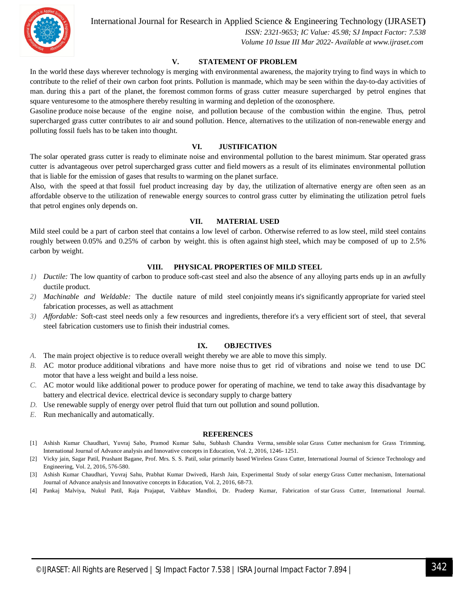

International Journal for Research in Applied Science & Engineering Technology (IJRASET**)**

 *ISSN: 2321-9653; IC Value: 45.98; SJ Impact Factor: 7.538 Volume 10 Issue III Mar 2022- Available at www.ijraset.com*

#### **V. STATEMENT OF PROBLEM**

In the world these days wherever technology is merging with environmental awareness, the majority trying to find ways in which to contribute to the relief of their own carbon foot prints. Pollution is manmade, which may be seen within the day-to-day activities of man. during this a part of the planet, the foremost common forms of grass cutter measure supercharged by petrol engines that square venturesome to the atmosphere thereby resulting in warming and depletion of the ozonosphere.

Gasoline produce noise because of the engine noise, and pollution because of the combustion within the engine. Thus, petrol supercharged grass cutter contributes to air and sound pollution. Hence, alternatives to the utilization of non-renewable energy and polluting fossil fuels has to be taken into thought.

#### **VI. JUSTIFICATION**

The solar operated grass cutter is ready to eliminate noise and environmental pollution to the barest minimum. Star operated grass cutter is advantageous over petrol supercharged grass cutter and field mowers as a result of its eliminates environmental pollution that is liable for the emission of gases that results to warming on the planet surface.

Also, with the speed at that fossil fuel product increasing day by day, the utilization of alternative energy are often seen as an affordable observe to the utilization of renewable energy sources to control grass cutter by eliminating the utilization petrol fuels that petrol engines only depends on.

#### **VII. MATERIAL USED**

Mild steel could be a part of carbon steel that contains a low level of carbon. Otherwise referred to as low steel, mild steel contains roughly between 0.05% and 0.25% of carbon by weight. this is often against high steel, which may be composed of up to 2.5% carbon by weight.

#### **VIII. PHYSICAL PROPERTIES OF MILD STEEL**

- *1) Ductile:* The low quantity of carbon to produce soft-cast steel and also the absence of any alloying parts ends up in an awfully ductile product.
- *2) Machinable and Weldable:* The ductile nature of mild steel conjointly means it's significantly appropriate for varied steel fabrication processes, as well as attachment
- *3) Affordable:* Soft-cast steel needs only a few resources and ingredients, therefore it's a very efficient sort of steel, that several steel fabrication customers use to finish their industrial comes.

#### **IX. OBJECTIVES**

- *A.* The main project objective is to reduce overall weight thereby we are able to move this simply.
- *B.* AC motor produce additional vibrations and have more noise thus to get rid of vibrations and noise we tend to use DC motor that have a less weight and build a less noise.
- *C.* AC motor would like additional power to produce power for operating of machine, we tend to take away this disadvantage by battery and electrical device. electrical device is secondary supply to charge battery
- *D.* Use renewable supply of energy over petrol fluid that turn out pollution and sound pollution.
- *E.* Run mechanically and automatically.

#### **REFERENCES**

- [1] Ashish Kumar Chaudhari, Yuvraj Saho, Pramod Kumar Sahu, Subhash Chandra Verma, sensible solar Grass Cutter mechanism for Grass Trimming, International Journal of Advance analysis and Innovative concepts in Education, Vol. 2, 2016, 1246- 1251.
- [2] Vicky jain, Sagar Patil, Prashant Bagane, Prof. Mrs. S. S. Patil, solar primarily based Wireless Grass Cutter, International Journal of Science Technology and Engineering, Vol. 2, 2016, 576-580.
- [3] Ashish Kumar Chaudhari, Yuvraj Sahu, Prabhat Kumar Dwivedi, Harsh Jain, Experimental Study of solar energy Grass Cutter mechanism, International Journal of Advance analysis and Innovative concepts in Education, Vol. 2, 2016, 68-73.
- [4] Pankaj Malviya, Nukul Patil, Raja Prajapat, Vaibhav Mandloi, Dr. Pradeep Kumar, Fabrication of star Grass Cutter, International Journal.